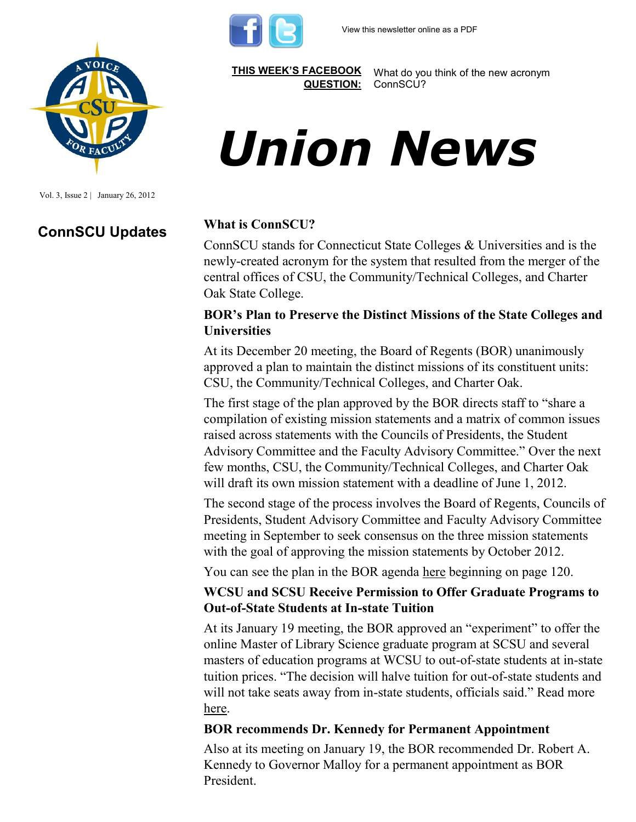



Vol. 3, Issue 2 | January 26, 2012

## **ConnSCU Updates What is ConnSCU?**

**[THIS WEEK'S FACEBOOK](http://www.facebook.com/csuaaup#!/pages/CSU-AAUP/112907808749535)  [QUESTION:](http://www.facebook.com/csuaaup#!/pages/CSU-AAUP/112907808749535)**

What do you think of the new acronym ConnSCU?

# *Union News*

ConnSCU stands for Connecticut State Colleges & Universities and is the newly-created acronym for the system that resulted from the merger of the central offices of CSU, the Community/Technical Colleges, and Charter Oak State College.

#### **BOR's Plan to Preserve the Distinct Missions of the State Colleges and Universities**

At its December 20 meeting, the Board of Regents (BOR) unanimously approved a plan to maintain the distinct missions of its constituent units: CSU, the Community/Technical Colleges, and Charter Oak.

The first stage of the plan approved by the BOR directs staff to "share a compilation of existing mission statements and a matrix of common issues raised across statements with the Councils of Presidents, the Student Advisory Committee and the Faculty Advisory Committee." Over the next few months, CSU, the Community/Technical Colleges, and Charter Oak will draft its own mission statement with a deadline of June 1, 2012.

The second stage of the process involves the Board of Regents, Councils of Presidents, Student Advisory Committee and Faculty Advisory Committee meeting in September to seek consensus on the three mission statements with the goal of approving the mission statements by October 2012.

You can see the plan in the BOR agenda [here](http://ctregents.ehclients.com/images/uploads/BORHE_Agenda_Packet_122011.pdf) beginning on page 120.

#### **WCSU and SCSU Receive Permission to Offer Graduate Programs to Out-of-State Students at In-state Tuition**

At its January 19 meeting, the BOR approved an "experiment" to offer the online Master of Library Science graduate program at SCSU and several masters of education programs at WCSU to out-of-state students at in-state tuition prices. "The decision will halve tuition for out-of-state students and will not take seats away from in-state students, officials said." Read more [here.](http://www.newstimes.com/local/article/CSU-system-tries-new-program-to-entice-2642632.php#ixzz1kO8TrZUq)

#### **BOR recommends Dr. Kennedy for Permanent Appointment**

Also at its meeting on January 19, the BOR recommended Dr. Robert A. Kennedy to Governor Malloy for a permanent appointment as BOR President.